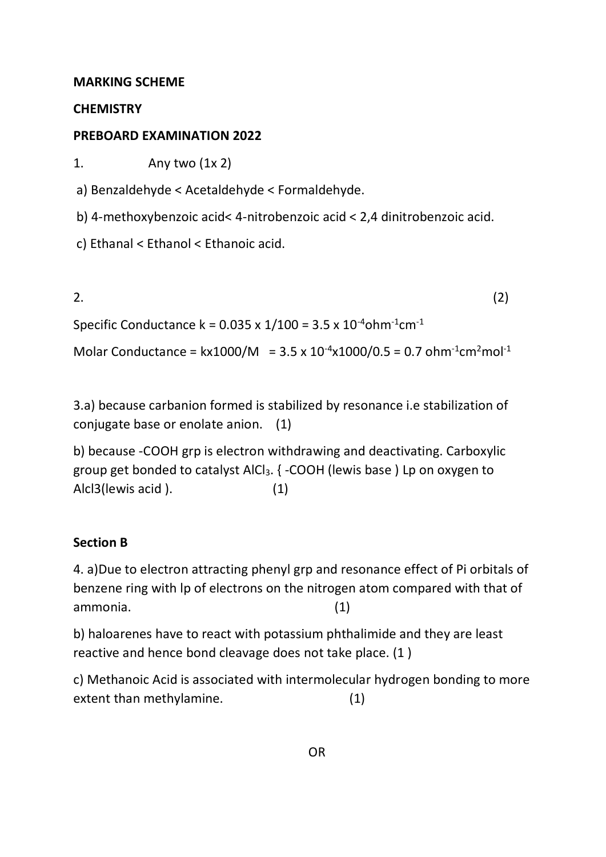#### **MARKING SCHEME**

### **CHEMISTRY**

## **PREBOARD EXAMINATION 2022**

1. Any two (1x 2)

a) Benzaldehyde < Acetaldehyde < Formaldehyde.

b) 4-methoxybenzoic acid< 4-nitrobenzoic acid < 2,4 dinitrobenzoic acid.

c) Ethanal < Ethanol < Ethanoic acid.

$$
(2) \quad (2)
$$

Specific Conductance  $k = 0.035 \times 1/100 = 3.5 \times 10^{-4}$ ohm<sup>-1</sup>cm<sup>-1</sup>

Molar Conductance =  $kx1000/M = 3.5 x 10^{-4}x1000/0.5 = 0.7 ohm^{-1}cm^2mol^{-1}$ 

3.a) because carbanion formed is stabilized by resonance i.e stabilization of conjugate base or enolate anion. (1)

b) because -COOH grp is electron withdrawing and deactivating. Carboxylic group get bonded to catalyst AlCl<sub>3</sub>. { -COOH (lewis base) Lp on oxygen to Alcl3(lewis acid ). (1)

## **Section B**

4. a)Due to electron attracting phenyl grp and resonance effect of Pi orbitals of benzene ring with lp of electrons on the nitrogen atom compared with that of ammonia. (1)

b) haloarenes have to react with potassium phthalimide and they are least reactive and hence bond cleavage does not take place. (1 )

c) Methanoic Acid is associated with intermolecular hydrogen bonding to more extent than methylamine. (1)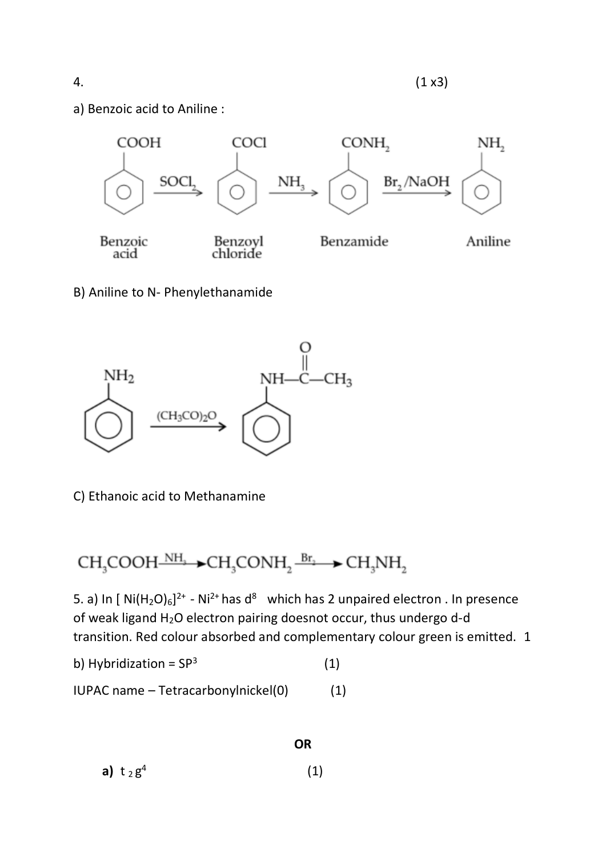a) Benzoic acid to Aniline :



B) Aniline to N- Phenylethanamide



C) Ethanoic acid to Methanamine

# $CH_3COOH \rightarrow NH_3 \rightarrow CH_3CONH_2 \rightarrow CH_3NH_2$

5. a) In  $[Ni(H_2O)_6]^{2+}$  - Ni<sup>2+</sup> has d<sup>8</sup> which has 2 unpaired electron . In presence of weak ligand  $H_2O$  electron pairing doesnot occur, thus undergo d-d transition. Red colour absorbed and complementary colour green is emitted. 1

**OR**

$$
b) \; Hybridization = SP3 \tag{1}
$$

$$
IUPAC name - Tetracarbonylnickel(0) \qquad (1)
$$

**a)** t 2 g 4  $(1)$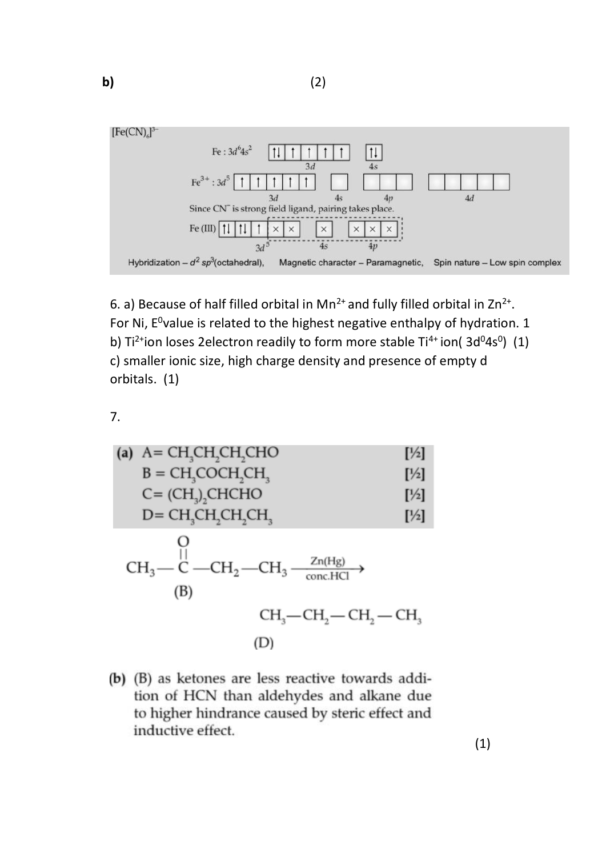

6. a) Because of half filled orbital in  $Mn^{2+}$  and fully filled orbital in  $Zn^{2+}$ . For Ni,  $E^0$ value is related to the highest negative enthalpy of hydration. 1 b) Ti<sup>2+</sup>ion loses 2electron readily to form more stable Ti<sup>4+</sup> ion( 3d<sup>0</sup>4s<sup>0</sup>) (1) c) smaller ionic size, high charge density and presence of empty d orbitals. (1)

7.

(a) A = CH<sub>3</sub>CH<sub>2</sub>CH<sub>2</sub>CHO [1/2]  
\nB = CH<sub>3</sub>COCH<sub>2</sub>CH<sub>3</sub> [1/2]  
\nC = (CH<sub>3</sub>)<sub>2</sub>CHCHO [1/2]  
\nD = CH<sub>3</sub>CH<sub>2</sub>CH<sub>2</sub>H<sub>3</sub> [1/2]  
\nO  
\nCH<sub>3</sub>—C—CH<sub>2</sub>—CH<sub>3</sub>—
$$
\frac{Zn(Hg)}{conCHCl} \rightarrow
$$
\n(B)  
\nCH<sub>3</sub>—CH<sub>2</sub>—CH<sub>2</sub>—CH<sub>2</sub>—CH<sub>3</sub> (D)

(b) (B) as ketones are less reactive towards addition of HCN than aldehydes and alkane due to higher hindrance caused by steric effect and inductive effect.

(1)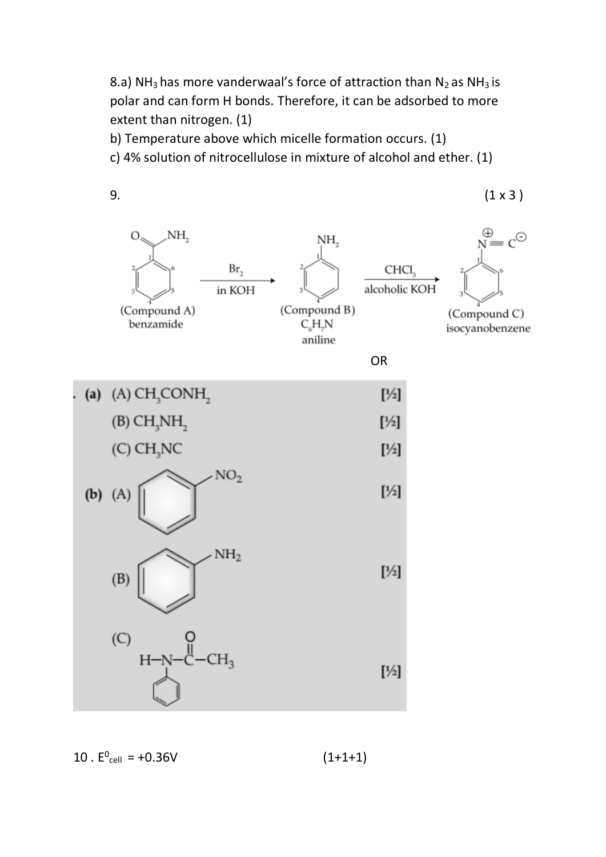8.a) NH<sub>3</sub> has more vanderwaal's force of attraction than  $N_2$  as NH<sub>3</sub> is polar and can form H bonds. Therefore, it can be adsorbed to more extent than nitrogen. (1)

b) Temperature above which micelle formation occurs. (1)

c) 4% solution of nitrocellulose in mixture of alcohol and ether. (1)



 $10 \t{.} E^{0}_{cell} = +0.36V$  (1+1+1)